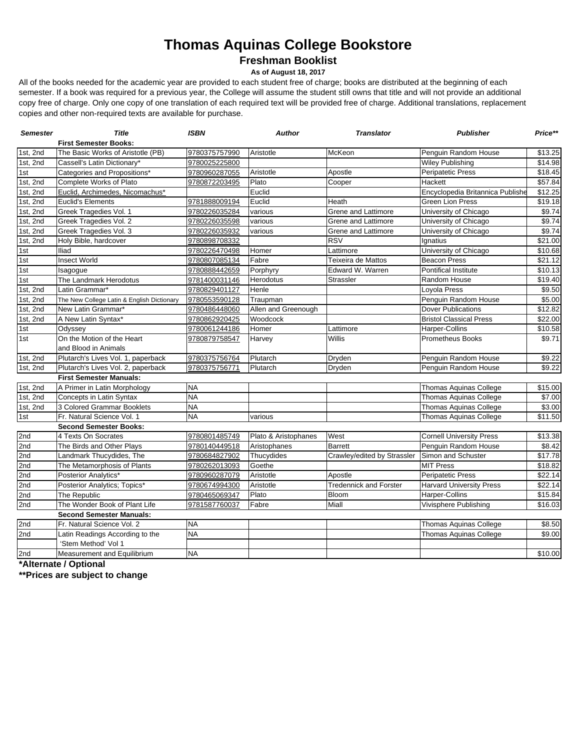# **Thomas Aquinas College Bookstore**

**Freshman Booklist**

**As of August 18, 2017**

All of the books needed for the academic year are provided to each student free of charge; books are distributed at the beginning of each semester. If a book was required for a previous year, the College will assume the student still owns that title and will not provide an additional copy free of charge. Only one copy of one translation of each required text will be provided free of charge. Additional translations, replacement copies and other non-required texts are available for purchase.

| <b>Semester</b>   | <b>Title</b>                               | <b>ISBN</b>   | <b>Author</b>        | <b>Translator</b>             | <b>Publisher</b>                 | Price**             |
|-------------------|--------------------------------------------|---------------|----------------------|-------------------------------|----------------------------------|---------------------|
|                   | <b>First Semester Books:</b>               |               |                      |                               |                                  |                     |
| 1st, 2nd          | The Basic Works of Aristotle (PB)          | 9780375757990 | Aristotle            | McKeon                        | Penguin Random House             | \$13.25             |
| 1st, $2nd$        | Cassell's Latin Dictionary*                | 9780025225800 |                      |                               | <b>Wiley Publishing</b>          | \$14.98             |
| 1st               | Categories and Propositions*               | 9780960287055 | Aristotle            | Apostle                       | <b>Peripatetic Press</b>         | \$18.45             |
| $1st$ , 2nd       | Complete Works of Plato                    | 9780872203495 | Plato                | Cooper                        | Hackett                          | \$57.84             |
| 1st, 2nd          | Euclid, Archimedes, Nicomachus*            |               | Euclid               |                               | Encyclopedia Britannica Publishe | \$12.25             |
| 1st, 2nd          | <b>Euclid's Elements</b>                   | 9781888009194 | Euclid               | Heath                         | <b>Green Lion Press</b>          | \$19.18             |
| 1st, 2nd          | Greek Tragedies Vol. 1                     | 9780226035284 | various              | Grene and Lattimore           | University of Chicago            | \$9.74              |
| 1st, 2nd          | Greek Tragedies Vol. 2                     | 9780226035598 | various              | <b>Grene and Lattimore</b>    | University of Chicago            | \$9.74              |
| 1st, $2nd$        | Greek Tragedies Vol. 3                     | 9780226035932 | various              | Grene and Lattimore           | University of Chicago            | \$9.74              |
| 1st, 2nd          | Holy Bible, hardcover                      | 9780898708332 |                      | <b>RSV</b>                    | Ignatius                         | \$21.00             |
| 1st               | Iliad                                      | 9780226470498 | Homer                | Lattimore                     | University of Chicago            | \$10.68             |
| 1st               | <b>Insect World</b>                        | 9780807085134 | Fabre                | Teixeira de Mattos            | <b>Beacon Press</b>              | \$21.12             |
| 1st               | Isagogue                                   | 9780888442659 | Porphyry             | Edward W. Warren              | Pontifical Institute             | \$10.13             |
| 1st               | The Landmark Herodotus                     | 9781400031146 | Herodotus            | Strassler                     | Random House                     | $\overline{$}19.40$ |
| 1st, $2nd$        | Latin Grammar*                             | 9780829401127 | Henle                |                               | Loyola Press                     | \$9.50              |
| 1st, $2nd$        | The New College Latin & English Dictionary | 9780553590128 | Traupman             |                               | Penguin Random House             | \$5.00              |
| 1st, 2nd          | New Latin Grammar*                         | 9780486448060 | Allen and Greenough  |                               | <b>Dover Publications</b>        | \$12.82             |
| 1st, 2nd          | A New Latin Syntax*                        | 9780862920425 | Woodcock             |                               | <b>Bristol Classical Press</b>   | \$22.00             |
| 1st               | Odyssey                                    | 9780061244186 | Homer                | Lattimore                     | <b>Harper-Collins</b>            | \$10.58             |
| $\overline{1}$ st | On the Motion of the Heart                 | 9780879758547 | Harvey               | Willis                        | <b>Prometheus Books</b>          | \$9.71              |
|                   | and Blood in Animals                       |               |                      |                               |                                  |                     |
| $1st$ , 2nd       | Plutarch's Lives Vol. 1, paperback         | 9780375756764 | Plutarch             | Dryden                        | Penguin Random House             | \$9.22              |
| 1st, 2nd          | Plutarch's Lives Vol. 2, paperback         | 9780375756771 | Plutarch             | Dryden                        | Penguin Random House             | \$9.22              |
|                   | <b>First Semester Manuals:</b>             |               |                      |                               |                                  |                     |
| 1st, 2nd          | A Primer in Latin Morphology               | <b>NA</b>     |                      |                               | Thomas Aquinas College           | \$15.00             |
| 1st, 2nd          | Concepts in Latin Syntax                   | <b>NA</b>     |                      |                               | <b>Thomas Aquinas College</b>    | \$7.00              |
| 1st, 2nd          | 3 Colored Grammar Booklets                 | <b>NA</b>     |                      |                               | Thomas Aquinas College           | \$3.00              |
| 1st               | Fr. Natural Science Vol. 1                 | <b>NA</b>     | various              |                               | Thomas Aquinas College           | \$11.50             |
|                   | <b>Second Semester Books:</b>              |               |                      |                               |                                  |                     |
| 2nd               | 4 Texts On Socrates                        | 9780801485749 | Plato & Aristophanes | West                          | <b>Cornell University Press</b>  | \$13.38             |
| 2nd               | The Birds and Other Plays                  | 9780140449518 | Aristophanes         | <b>Barrett</b>                | Penguin Random House             | \$8.42              |
| 2nd               | Landmark Thucydides, The                   | 9780684827902 | Thucydides           | Crawley/edited by Strassler   | Simon and Schuster               | \$17.78             |
| 2nd               | The Metamorphosis of Plants                | 9780262013093 | Goethe               |                               | <b>MIT Press</b>                 | \$18.82             |
| 2nd               | Posterior Analytics*                       | 9780960287079 | Aristotle            | Apostle                       | <b>Peripatetic Press</b>         | \$22.14             |
| 2nd               | Posterior Analytics; Topics*               | 9780674994300 | Aristotle            | <b>Tredennick and Forster</b> | <b>Harvard University Press</b>  | \$22.14             |
| 2nd               | The Republic                               | 9780465069347 | Plato                | Bloom                         | <b>Harper-Collins</b>            | \$15.84             |
| 2 <sub>nd</sub>   | The Wonder Book of Plant Life              | 9781587760037 | Fabre                | Miall                         | Vivisphere Publishing            | \$16.03             |
|                   | <b>Second Semester Manuals:</b>            |               |                      |                               |                                  |                     |
| 2nd               | Fr. Natural Science Vol. 2                 | <b>NA</b>     |                      |                               | Thomas Aquinas College           | \$8.50              |
| 2nd               | Latin Readings According to the            | <b>NA</b>     |                      |                               | Thomas Aquinas College           | \$9.00              |
|                   | 'Stem Method' Vol 1                        |               |                      |                               |                                  |                     |
| 2nd               | Measurement and Equilibrium                | <b>NA</b>     |                      |                               |                                  | \$10.00             |

**\*Alternate / Optional**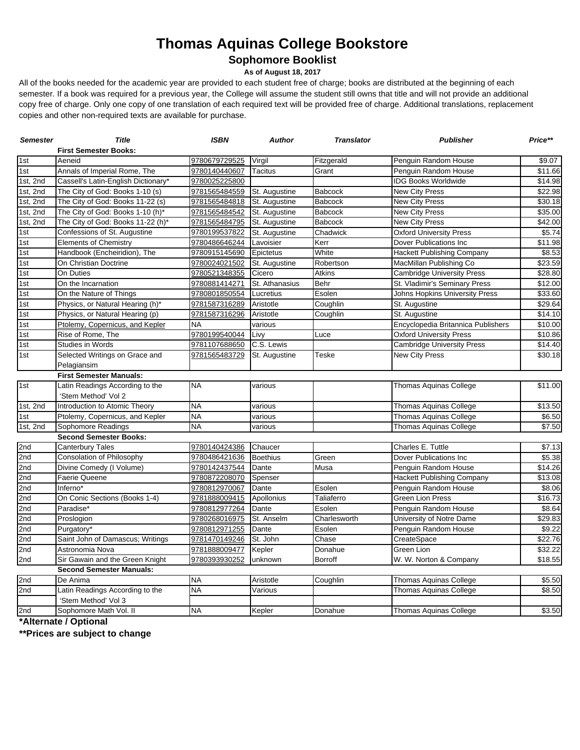# **Thomas Aquinas College Bookstore**

**Sophomore Booklist**

**As of August 18, 2017**

All of the books needed for the academic year are provided to each student free of charge; books are distributed at the beginning of each semester. If a book was required for a previous year, the College will assume the student still owns that title and will not provide an additional copy free of charge. Only one copy of one translation of each required text will be provided free of charge. Additional translations, replacement copies and other non-required texts are available for purchase.

| <b>Semester</b> | <b>Title</b>                        | <b>ISBN</b>   | <b>Author</b>   | <b>Translator</b> | <b>Publisher</b>                   | Price**             |  |  |
|-----------------|-------------------------------------|---------------|-----------------|-------------------|------------------------------------|---------------------|--|--|
|                 | <b>First Semester Books:</b>        |               |                 |                   |                                    |                     |  |  |
| 1st             | Aeneid                              | 9780679729525 | Virgil          | Fitzgerald        | Penguin Random House               | \$9.07              |  |  |
| 1st             | Annals of Imperial Rome, The        | 9780140440607 | <b>Tacitus</b>  | Grant             | Penguin Random House               | \$11.66             |  |  |
| 1st, 2nd        | Cassell's Latin-English Dictionary* | 9780025225800 |                 |                   | <b>IDG Books Worldwide</b>         | $\overline{$14.98}$ |  |  |
| 1st, 2nd        | The City of God: Books 1-10 (s)     | 9781565484559 | St. Augustine   | <b>Babcock</b>    | <b>New City Press</b>              | \$22.98             |  |  |
| 1st, 2nd        | The City of God: Books 11-22 (s)    | 9781565484818 | St. Augustine   | <b>Babcock</b>    | <b>New City Press</b>              | \$30.18             |  |  |
| 1st, 2nd        | The City of God: Books 1-10 (h)*    | 9781565484542 | St. Augustine   | <b>Babcock</b>    | <b>New City Press</b>              | \$35.00             |  |  |
| 1st, 2nd        | The City of God: Books 11-22 (h)*   | 9781565484795 | St. Augustine   | <b>Babcock</b>    | <b>New City Press</b>              | \$42.00             |  |  |
| 1st             | Confessions of St. Augustine        | 9780199537822 | St. Augustine   | Chadwick          | <b>Oxford University Press</b>     | \$5.74              |  |  |
| 1st             | <b>Elements of Chemistry</b>        | 9780486646244 | Lavoisier       | Kerr              | Dover Publications Inc             | \$11.98             |  |  |
| 1st             | Handbook (Encheiridion), The        | 9780915145690 | Epictetus       | White             | <b>Hackett Publishing Company</b>  | \$8.53              |  |  |
| 1st             | On Christian Doctrine               | 9780024021502 | St. Augustine   | Robertson         | MacMillan Publishing Co            | \$23.59             |  |  |
| 1st             | On Duties                           | 9780521348355 | Cicero          | <b>Atkins</b>     | <b>Cambridge University Press</b>  | \$28.80             |  |  |
| 1st             | On the Incarnation                  | 9780881414271 | St. Athanasius  | Behr              | St. Vladimir's Seminary Press      | \$12.00             |  |  |
| 1st             | On the Nature of Things             | 9780801850554 | Lucretius       | Esolen            | Johns Hopkins University Press     | \$33.60             |  |  |
| 1st             | Physics, or Natural Hearing (h)*    | 9781587316289 | Aristotle       | Coughlin          | St. Augustine                      | \$29.64             |  |  |
| 1st             | Physics, or Natural Hearing (p)     | 9781587316296 | Aristotle       | Coughlin          | St. Augustine                      | \$14.10             |  |  |
| 1st             | Ptolemy, Copernicus, and Kepler     | <b>NA</b>     | various         |                   | Encyclopedia Britannica Publishers | \$10.00             |  |  |
| 1st             | Rise of Rome, The                   | 9780199540044 | Livy            | Luce              | <b>Oxford University Press</b>     | \$10.86             |  |  |
| 1st             | <b>Studies in Words</b>             | 9781107688650 | C.S. Lewis      |                   | <b>Cambridge University Press</b>  | \$14.40             |  |  |
| 1st             | Selected Writings on Grace and      | 9781565483729 | St. Augustine   | <b>Teske</b>      | <b>New City Press</b>              | \$30.18             |  |  |
|                 | Pelagiansim                         |               |                 |                   |                                    |                     |  |  |
|                 | <b>First Semester Manuals:</b>      |               |                 |                   |                                    |                     |  |  |
| 1st             | Latin Readings According to the     | <b>NA</b>     | various         |                   | Thomas Aquinas College             | $\overline{$}11.00$ |  |  |
|                 | 'Stem Method' Vol 2                 |               |                 |                   |                                    |                     |  |  |
| 1st, 2nd        | Introduction to Atomic Theory       | <b>NA</b>     | various         |                   | <b>Thomas Aquinas College</b>      | \$13.50             |  |  |
| 1st             | Ptolemy, Copernicus, and Kepler     | <b>NA</b>     | various         |                   | <b>Thomas Aquinas College</b>      | \$6.50              |  |  |
| $1st$ , 2nd     | Sophomore Readings                  | <b>NA</b>     | various         |                   | Thomas Aquinas College             | \$7.50              |  |  |
|                 | <b>Second Semester Books:</b>       |               |                 |                   |                                    |                     |  |  |
| 2nd             | <b>Canterbury Tales</b>             | 9780140424386 | Chaucer         |                   | Charles E. Tuttle                  | \$7.13              |  |  |
| 2nd             | Consolation of Philosophy           | 9780486421636 | <b>Boethius</b> | Green             | Dover Publications Inc             | \$5.38              |  |  |
| 2nd             | Divine Comedy (I Volume)            | 9780142437544 | Dante           | Musa              | Penguin Random House               | \$14.26             |  |  |
| 2nd             | <b>Faerie Queene</b>                | 9780872208070 | Spenser         |                   | <b>Hackett Publishing Company</b>  | \$13.08             |  |  |
| 2nd             | Inferno*                            | 9780812970067 | Dante           | Esolen            | Penguin Random House               | \$8.06              |  |  |
| 2nd             | On Conic Sections (Books 1-4)       | 9781888009415 | Apollonius      | Taliaferro        | <b>Green Lion Press</b>            | \$16.73             |  |  |
| 2nd             | Paradise*                           | 9780812977264 | Dante           | Esolen            | Penguin Random House               | \$8.64              |  |  |
| 2nd             | Proslogion                          | 9780268016975 | St. Anselm      | Charlesworth      | University of Notre Dame           | \$29.83             |  |  |
| 2nd             | Purgatory*                          | 9780812971255 | Dante           | Esolen            | Penguin Random House               | \$9.22              |  |  |
| 2 <sub>nd</sub> | Saint John of Damascus; Writings    | 9781470149246 | St. John        | Chase             | CreateSpace                        | $\overline{$}22.76$ |  |  |
| 2nd             | Astronomia Nova                     | 9781888009477 | Kepler          | Donahue           | Green Lion                         | \$32.22             |  |  |
| 2nd             | Sir Gawain and the Green Knight     | 9780393930252 | unknown         | Borroff           | W. W. Norton & Company             | \$18.55             |  |  |
|                 | <b>Second Semester Manuals:</b>     |               |                 |                   |                                    |                     |  |  |
| 2nd             | De Anima                            | <b>NA</b>     | Aristotle       | Coughlin          | <b>Thomas Aquinas College</b>      | \$5.50              |  |  |
| 2nd             | Latin Readings According to the     | <b>NA</b>     | Various         |                   | <b>Thomas Aquinas College</b>      | \$8.50              |  |  |
|                 | 'Stem Method' Vol 3                 |               |                 |                   |                                    |                     |  |  |
| 2nd             | Sophomore Math Vol. II              | <b>NA</b>     | Kepler          | Donahue           | <b>Thomas Aquinas College</b>      | \$3.50              |  |  |

**\*Alternate / Optional**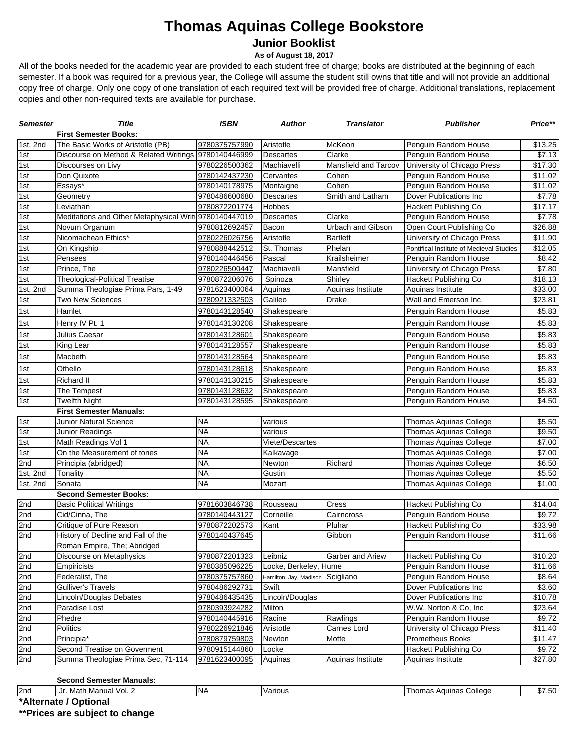### **Thomas Aquinas College Bookstore Junior Booklist**

#### **As of August 18, 2017**

All of the books needed for the academic year are provided to each student free of charge; books are distributed at the beginning of each semester. If a book was required for a previous year, the College will assume the student still owns that title and will not provide an additional copy free of charge. Only one copy of one translation of each required text will be provided free of charge. Additional translations, replacement copies and other non-required texts are available for purchase.

| <b>First Semester Books:</b><br>1st, 2nd<br>The Basic Works of Aristotle (PB)<br>McKeon<br>9780375757990<br>Aristotle<br>Penguin Random House<br>1st<br>Discourse on Method & Related Writings<br>Clarke<br>Penguin Random House<br>\$7.13<br>9780140446999<br>Descartes<br>1st<br>9780226500362<br>Mansfield and Tarcov<br>University of Chicago Press<br>\$17.30<br>Discourses on Livy<br>Machiavelli<br>1st<br>Don Quixote<br>9780142437230<br>Penguin Random House<br>\$11.02<br>Cervantes<br>Cohen<br>1st<br>Cohen<br>Penguin Random House<br>$\overline{$}11.02$<br>Essays*<br>9780140178975<br>Montaigne<br>Smith and Latham<br>Dover Publications Inc<br>$\overline{$}7.78$<br>Geometry<br>9780486600680<br><b>Descartes</b><br>$\overline{1}$ st<br>$\overline{$}17.17$<br>Leviathan<br>9780872201774<br>Hobbes<br>Hackett Publishing Co<br>1st<br>Meditations and Other Metaphysical Writi 9780140447019<br>Clarke<br>Penguin Random House<br><b>Descartes</b><br>\$7.78<br>1st<br>Urbach and Gibson<br>Open Court Publishing Co<br>\$26.88<br>9780812692457<br>Novum Organum<br>Bacon<br>1st<br>Nicomachean Ethics*<br>Aristotle<br><b>Bartlett</b><br>University of Chicago Press<br>\$11.90<br>9780226026756<br>$\overline{1st}$<br>On Kingship<br>9780888442512<br>St. Thomas<br>Phelan<br>Pontifical Institute of Medieval Studies<br>\$12.05<br>1st<br>\$8.42<br>Pensees<br>9780140446456<br>Pascal<br>Krailsheimer<br>Penguin Random House<br>$\overline{1}$ st<br>Prince, The<br>Mansfield<br>University of Chicago Press<br>\$7.80<br>9780226500447<br>Machiavelli<br>1st<br><b>Theological-Political Treatise</b><br>Hackett Publishing Co<br>9780872206076<br>Spinoza<br>Shirley<br>1st, 2nd<br>Summa Theologiae Prima Pars, 1-49<br>9781623400064<br>Aquinas Institute<br>Aquinas Institute<br>\$33.00<br>Aquinas<br>1st<br><b>Two New Sciences</b><br>Galileo<br>Wall and Emerson Inc<br>\$23.81<br>9780921332503<br>Drake<br>Hamlet<br>\$5.83<br>9780143128540<br>Shakespeare<br>Penguin Random House<br>Henry IV Pt. 1<br>\$5.83<br>9780143130208<br>Shakespeare<br>Penguin Random House<br>Julius Caesar<br>9780143128601<br>Penguin Random House<br>\$5.83<br>Shakespeare<br>Penguin Random House<br>\$5.83<br>King Lear<br>9780143128557<br>Shakespeare<br>Macbeth<br>9780143128564<br>Penguin Random House<br>\$5.83<br>Shakespeare<br>$\overline{1st}$<br>Othello<br>Penguin Random House<br>\$5.83<br>9780143128618<br>Shakespeare<br>1st<br><b>Richard II</b><br>9780143130215<br>Shakespeare<br>Penguin Random House<br>\$5.83<br>1st<br>The Tempest<br>9780143128632<br>Penguin Random House<br>\$5.83<br>Shakespeare<br>1st<br><b>Twelfth Night</b><br>Penguin Random House<br>9780143128595<br>Shakespeare<br>\$4.50<br><b>First Semester Manuals:</b><br>1st<br><b>Junior Natural Science</b><br><b>NA</b><br>\$5.50<br>Thomas Aquinas College<br>various<br><b>NA</b><br>Thomas Aquinas College<br>\$9.50<br>Junior Readings<br>various<br>$\overline{1}$ st<br><b>NA</b><br>Math Readings Vol 1<br>Thomas Aquinas College<br>\$7.00<br><b>Viete/Descartes</b><br><b>NA</b><br>On the Measurement of tones<br>Thomas Aquinas College<br>\$7.00<br>Kalkavage<br><b>NA</b><br>Thomas Aquinas College<br>\$6.50<br>Newton<br>Richard<br>Principia (abridged)<br>1st, 2nd<br><b>NA</b><br>Tonality<br>Thomas Aquinas College<br>Gustin<br><b>NA</b><br>Sonata<br>Thomas Aquinas College<br>\$1.00<br>Mozart<br><b>Second Semester Books:</b><br>Cress<br>Hackett Publishing Co<br><b>Basic Political Writings</b><br>9781603846738<br>Rousseau<br>Cid/Cinna, The<br>Corneille<br>Cairncross<br>Penguin Random House<br>9780140443127<br>2nd<br>Critique of Pure Reason<br>Pluhar<br><b>Hackett Publishing Co</b><br>9780872202573<br>Kant<br>History of Decline and Fall of the<br>Gibbon<br>Penguin Random House<br>9780140437645<br>Roman Empire, The; Abridged<br>2nd<br>Garber and Ariew<br>9780872201323<br>Leibniz<br><b>Hackett Publishing Co</b><br>Discourse on Metaphysics<br>9780385096225<br>Locke, Berkeley, Hume<br>Penguin Random House<br>Empiricists<br>Federalist, The<br>9780375757860<br>Penguin Random House<br>Hamilton, Jay, Madison<br>Scigliano<br><b>Gulliver's Travels</b><br>9780486292731<br>Swift<br>Dover Publications Inc<br>2nd<br>Lincoln/Douglas Debates<br>9780486435435<br>Lincoln/Douglas<br>Dover Publications Inc<br>\$10.78<br>9780393924282<br>Milton<br>W.W. Norton & Co, Inc<br>\$23.64<br>Paradise Lost<br>Penguin Random House<br>\$9.72<br>Phedre<br>9780140445916<br>Racine<br>Rawlings<br><b>Politics</b><br>9780226921846<br>Aristotle<br>Carnes Lord<br>University of Chicago Press<br>\$11.40<br>Principia*<br>9780879759803<br><b>Prometheus Books</b><br>Newton<br>Motte<br>Second Treatise on Goverment<br>Hackett Publishing Co<br>9780915144860<br>Locke<br>Summa Theologiae Prima Sec, 71-114<br>9781623400095<br>Aquinas Institute<br>Aquinas<br>Aquinas Institute | <b>Semester</b> | <b>Title</b> | <b>ISBN</b> | Author | <b>Translator</b> | Publisher | Price** |
|-----------------------------------------------------------------------------------------------------------------------------------------------------------------------------------------------------------------------------------------------------------------------------------------------------------------------------------------------------------------------------------------------------------------------------------------------------------------------------------------------------------------------------------------------------------------------------------------------------------------------------------------------------------------------------------------------------------------------------------------------------------------------------------------------------------------------------------------------------------------------------------------------------------------------------------------------------------------------------------------------------------------------------------------------------------------------------------------------------------------------------------------------------------------------------------------------------------------------------------------------------------------------------------------------------------------------------------------------------------------------------------------------------------------------------------------------------------------------------------------------------------------------------------------------------------------------------------------------------------------------------------------------------------------------------------------------------------------------------------------------------------------------------------------------------------------------------------------------------------------------------------------------------------------------------------------------------------------------------------------------------------------------------------------------------------------------------------------------------------------------------------------------------------------------------------------------------------------------------------------------------------------------------------------------------------------------------------------------------------------------------------------------------------------------------------------------------------------------------------------------------------------------------------------------------------------------------------------------------------------------------------------------------------------------------------------------------------------------------------------------------------------------------------------------------------------------------------------------------------------------------------------------------------------------------------------------------------------------------------------------------------------------------------------------------------------------------------------------------------------------------------------------------------------------------------------------------------------------------------------------------------------------------------------------------------------------------------------------------------------------------------------------------------------------------------------------------------------------------------------------------------------------------------------------------------------------------------------------------------------------------------------------------------------------------------------------------------------------------------------------------------------------------------------------------------------------------------------------------------------------------------------------------------------------------------------------------------------------------------------------------------------------------------------------------------------------------------------------------------------------------------------------------------------------------------------------------------------------------------------------------------------------------------------------------------------------------------------------------------------------------------------------------------------------------------------------------------------------------------------------------------------------------------------------------------------------------------------------------------------------------------------------------------------------------------------------------------------------------------------------------------------------------------------------------------------------------------------------------------------------------------------------------------------------------------------------------------------|-----------------|--------------|-------------|--------|-------------------|-----------|---------|
|                                                                                                                                                                                                                                                                                                                                                                                                                                                                                                                                                                                                                                                                                                                                                                                                                                                                                                                                                                                                                                                                                                                                                                                                                                                                                                                                                                                                                                                                                                                                                                                                                                                                                                                                                                                                                                                                                                                                                                                                                                                                                                                                                                                                                                                                                                                                                                                                                                                                                                                                                                                                                                                                                                                                                                                                                                                                                                                                                                                                                                                                                                                                                                                                                                                                                                                                                                                                                                                                                                                                                                                                                                                                                                                                                                                                                                                                                                                                                                                                                                                                                                                                                                                                                                                                                                                                                                                                                                                                                                                                                                                                                                                                                                                                                                                                                                                                                                                                                                 |                 |              |             |        |                   |           |         |
|                                                                                                                                                                                                                                                                                                                                                                                                                                                                                                                                                                                                                                                                                                                                                                                                                                                                                                                                                                                                                                                                                                                                                                                                                                                                                                                                                                                                                                                                                                                                                                                                                                                                                                                                                                                                                                                                                                                                                                                                                                                                                                                                                                                                                                                                                                                                                                                                                                                                                                                                                                                                                                                                                                                                                                                                                                                                                                                                                                                                                                                                                                                                                                                                                                                                                                                                                                                                                                                                                                                                                                                                                                                                                                                                                                                                                                                                                                                                                                                                                                                                                                                                                                                                                                                                                                                                                                                                                                                                                                                                                                                                                                                                                                                                                                                                                                                                                                                                                                 |                 |              |             |        |                   |           | \$13.25 |
|                                                                                                                                                                                                                                                                                                                                                                                                                                                                                                                                                                                                                                                                                                                                                                                                                                                                                                                                                                                                                                                                                                                                                                                                                                                                                                                                                                                                                                                                                                                                                                                                                                                                                                                                                                                                                                                                                                                                                                                                                                                                                                                                                                                                                                                                                                                                                                                                                                                                                                                                                                                                                                                                                                                                                                                                                                                                                                                                                                                                                                                                                                                                                                                                                                                                                                                                                                                                                                                                                                                                                                                                                                                                                                                                                                                                                                                                                                                                                                                                                                                                                                                                                                                                                                                                                                                                                                                                                                                                                                                                                                                                                                                                                                                                                                                                                                                                                                                                                                 |                 |              |             |        |                   |           |         |
|                                                                                                                                                                                                                                                                                                                                                                                                                                                                                                                                                                                                                                                                                                                                                                                                                                                                                                                                                                                                                                                                                                                                                                                                                                                                                                                                                                                                                                                                                                                                                                                                                                                                                                                                                                                                                                                                                                                                                                                                                                                                                                                                                                                                                                                                                                                                                                                                                                                                                                                                                                                                                                                                                                                                                                                                                                                                                                                                                                                                                                                                                                                                                                                                                                                                                                                                                                                                                                                                                                                                                                                                                                                                                                                                                                                                                                                                                                                                                                                                                                                                                                                                                                                                                                                                                                                                                                                                                                                                                                                                                                                                                                                                                                                                                                                                                                                                                                                                                                 |                 |              |             |        |                   |           |         |
|                                                                                                                                                                                                                                                                                                                                                                                                                                                                                                                                                                                                                                                                                                                                                                                                                                                                                                                                                                                                                                                                                                                                                                                                                                                                                                                                                                                                                                                                                                                                                                                                                                                                                                                                                                                                                                                                                                                                                                                                                                                                                                                                                                                                                                                                                                                                                                                                                                                                                                                                                                                                                                                                                                                                                                                                                                                                                                                                                                                                                                                                                                                                                                                                                                                                                                                                                                                                                                                                                                                                                                                                                                                                                                                                                                                                                                                                                                                                                                                                                                                                                                                                                                                                                                                                                                                                                                                                                                                                                                                                                                                                                                                                                                                                                                                                                                                                                                                                                                 |                 |              |             |        |                   |           |         |
|                                                                                                                                                                                                                                                                                                                                                                                                                                                                                                                                                                                                                                                                                                                                                                                                                                                                                                                                                                                                                                                                                                                                                                                                                                                                                                                                                                                                                                                                                                                                                                                                                                                                                                                                                                                                                                                                                                                                                                                                                                                                                                                                                                                                                                                                                                                                                                                                                                                                                                                                                                                                                                                                                                                                                                                                                                                                                                                                                                                                                                                                                                                                                                                                                                                                                                                                                                                                                                                                                                                                                                                                                                                                                                                                                                                                                                                                                                                                                                                                                                                                                                                                                                                                                                                                                                                                                                                                                                                                                                                                                                                                                                                                                                                                                                                                                                                                                                                                                                 |                 |              |             |        |                   |           |         |
|                                                                                                                                                                                                                                                                                                                                                                                                                                                                                                                                                                                                                                                                                                                                                                                                                                                                                                                                                                                                                                                                                                                                                                                                                                                                                                                                                                                                                                                                                                                                                                                                                                                                                                                                                                                                                                                                                                                                                                                                                                                                                                                                                                                                                                                                                                                                                                                                                                                                                                                                                                                                                                                                                                                                                                                                                                                                                                                                                                                                                                                                                                                                                                                                                                                                                                                                                                                                                                                                                                                                                                                                                                                                                                                                                                                                                                                                                                                                                                                                                                                                                                                                                                                                                                                                                                                                                                                                                                                                                                                                                                                                                                                                                                                                                                                                                                                                                                                                                                 | ∣1st            |              |             |        |                   |           |         |
|                                                                                                                                                                                                                                                                                                                                                                                                                                                                                                                                                                                                                                                                                                                                                                                                                                                                                                                                                                                                                                                                                                                                                                                                                                                                                                                                                                                                                                                                                                                                                                                                                                                                                                                                                                                                                                                                                                                                                                                                                                                                                                                                                                                                                                                                                                                                                                                                                                                                                                                                                                                                                                                                                                                                                                                                                                                                                                                                                                                                                                                                                                                                                                                                                                                                                                                                                                                                                                                                                                                                                                                                                                                                                                                                                                                                                                                                                                                                                                                                                                                                                                                                                                                                                                                                                                                                                                                                                                                                                                                                                                                                                                                                                                                                                                                                                                                                                                                                                                 |                 |              |             |        |                   |           |         |
|                                                                                                                                                                                                                                                                                                                                                                                                                                                                                                                                                                                                                                                                                                                                                                                                                                                                                                                                                                                                                                                                                                                                                                                                                                                                                                                                                                                                                                                                                                                                                                                                                                                                                                                                                                                                                                                                                                                                                                                                                                                                                                                                                                                                                                                                                                                                                                                                                                                                                                                                                                                                                                                                                                                                                                                                                                                                                                                                                                                                                                                                                                                                                                                                                                                                                                                                                                                                                                                                                                                                                                                                                                                                                                                                                                                                                                                                                                                                                                                                                                                                                                                                                                                                                                                                                                                                                                                                                                                                                                                                                                                                                                                                                                                                                                                                                                                                                                                                                                 |                 |              |             |        |                   |           |         |
|                                                                                                                                                                                                                                                                                                                                                                                                                                                                                                                                                                                                                                                                                                                                                                                                                                                                                                                                                                                                                                                                                                                                                                                                                                                                                                                                                                                                                                                                                                                                                                                                                                                                                                                                                                                                                                                                                                                                                                                                                                                                                                                                                                                                                                                                                                                                                                                                                                                                                                                                                                                                                                                                                                                                                                                                                                                                                                                                                                                                                                                                                                                                                                                                                                                                                                                                                                                                                                                                                                                                                                                                                                                                                                                                                                                                                                                                                                                                                                                                                                                                                                                                                                                                                                                                                                                                                                                                                                                                                                                                                                                                                                                                                                                                                                                                                                                                                                                                                                 |                 |              |             |        |                   |           |         |
|                                                                                                                                                                                                                                                                                                                                                                                                                                                                                                                                                                                                                                                                                                                                                                                                                                                                                                                                                                                                                                                                                                                                                                                                                                                                                                                                                                                                                                                                                                                                                                                                                                                                                                                                                                                                                                                                                                                                                                                                                                                                                                                                                                                                                                                                                                                                                                                                                                                                                                                                                                                                                                                                                                                                                                                                                                                                                                                                                                                                                                                                                                                                                                                                                                                                                                                                                                                                                                                                                                                                                                                                                                                                                                                                                                                                                                                                                                                                                                                                                                                                                                                                                                                                                                                                                                                                                                                                                                                                                                                                                                                                                                                                                                                                                                                                                                                                                                                                                                 |                 |              |             |        |                   |           |         |
|                                                                                                                                                                                                                                                                                                                                                                                                                                                                                                                                                                                                                                                                                                                                                                                                                                                                                                                                                                                                                                                                                                                                                                                                                                                                                                                                                                                                                                                                                                                                                                                                                                                                                                                                                                                                                                                                                                                                                                                                                                                                                                                                                                                                                                                                                                                                                                                                                                                                                                                                                                                                                                                                                                                                                                                                                                                                                                                                                                                                                                                                                                                                                                                                                                                                                                                                                                                                                                                                                                                                                                                                                                                                                                                                                                                                                                                                                                                                                                                                                                                                                                                                                                                                                                                                                                                                                                                                                                                                                                                                                                                                                                                                                                                                                                                                                                                                                                                                                                 |                 |              |             |        |                   |           |         |
|                                                                                                                                                                                                                                                                                                                                                                                                                                                                                                                                                                                                                                                                                                                                                                                                                                                                                                                                                                                                                                                                                                                                                                                                                                                                                                                                                                                                                                                                                                                                                                                                                                                                                                                                                                                                                                                                                                                                                                                                                                                                                                                                                                                                                                                                                                                                                                                                                                                                                                                                                                                                                                                                                                                                                                                                                                                                                                                                                                                                                                                                                                                                                                                                                                                                                                                                                                                                                                                                                                                                                                                                                                                                                                                                                                                                                                                                                                                                                                                                                                                                                                                                                                                                                                                                                                                                                                                                                                                                                                                                                                                                                                                                                                                                                                                                                                                                                                                                                                 |                 |              |             |        |                   |           |         |
|                                                                                                                                                                                                                                                                                                                                                                                                                                                                                                                                                                                                                                                                                                                                                                                                                                                                                                                                                                                                                                                                                                                                                                                                                                                                                                                                                                                                                                                                                                                                                                                                                                                                                                                                                                                                                                                                                                                                                                                                                                                                                                                                                                                                                                                                                                                                                                                                                                                                                                                                                                                                                                                                                                                                                                                                                                                                                                                                                                                                                                                                                                                                                                                                                                                                                                                                                                                                                                                                                                                                                                                                                                                                                                                                                                                                                                                                                                                                                                                                                                                                                                                                                                                                                                                                                                                                                                                                                                                                                                                                                                                                                                                                                                                                                                                                                                                                                                                                                                 |                 |              |             |        |                   |           |         |
|                                                                                                                                                                                                                                                                                                                                                                                                                                                                                                                                                                                                                                                                                                                                                                                                                                                                                                                                                                                                                                                                                                                                                                                                                                                                                                                                                                                                                                                                                                                                                                                                                                                                                                                                                                                                                                                                                                                                                                                                                                                                                                                                                                                                                                                                                                                                                                                                                                                                                                                                                                                                                                                                                                                                                                                                                                                                                                                                                                                                                                                                                                                                                                                                                                                                                                                                                                                                                                                                                                                                                                                                                                                                                                                                                                                                                                                                                                                                                                                                                                                                                                                                                                                                                                                                                                                                                                                                                                                                                                                                                                                                                                                                                                                                                                                                                                                                                                                                                                 |                 |              |             |        |                   |           | \$18.13 |
|                                                                                                                                                                                                                                                                                                                                                                                                                                                                                                                                                                                                                                                                                                                                                                                                                                                                                                                                                                                                                                                                                                                                                                                                                                                                                                                                                                                                                                                                                                                                                                                                                                                                                                                                                                                                                                                                                                                                                                                                                                                                                                                                                                                                                                                                                                                                                                                                                                                                                                                                                                                                                                                                                                                                                                                                                                                                                                                                                                                                                                                                                                                                                                                                                                                                                                                                                                                                                                                                                                                                                                                                                                                                                                                                                                                                                                                                                                                                                                                                                                                                                                                                                                                                                                                                                                                                                                                                                                                                                                                                                                                                                                                                                                                                                                                                                                                                                                                                                                 |                 |              |             |        |                   |           |         |
|                                                                                                                                                                                                                                                                                                                                                                                                                                                                                                                                                                                                                                                                                                                                                                                                                                                                                                                                                                                                                                                                                                                                                                                                                                                                                                                                                                                                                                                                                                                                                                                                                                                                                                                                                                                                                                                                                                                                                                                                                                                                                                                                                                                                                                                                                                                                                                                                                                                                                                                                                                                                                                                                                                                                                                                                                                                                                                                                                                                                                                                                                                                                                                                                                                                                                                                                                                                                                                                                                                                                                                                                                                                                                                                                                                                                                                                                                                                                                                                                                                                                                                                                                                                                                                                                                                                                                                                                                                                                                                                                                                                                                                                                                                                                                                                                                                                                                                                                                                 |                 |              |             |        |                   |           |         |
|                                                                                                                                                                                                                                                                                                                                                                                                                                                                                                                                                                                                                                                                                                                                                                                                                                                                                                                                                                                                                                                                                                                                                                                                                                                                                                                                                                                                                                                                                                                                                                                                                                                                                                                                                                                                                                                                                                                                                                                                                                                                                                                                                                                                                                                                                                                                                                                                                                                                                                                                                                                                                                                                                                                                                                                                                                                                                                                                                                                                                                                                                                                                                                                                                                                                                                                                                                                                                                                                                                                                                                                                                                                                                                                                                                                                                                                                                                                                                                                                                                                                                                                                                                                                                                                                                                                                                                                                                                                                                                                                                                                                                                                                                                                                                                                                                                                                                                                                                                 | 1st             |              |             |        |                   |           |         |
|                                                                                                                                                                                                                                                                                                                                                                                                                                                                                                                                                                                                                                                                                                                                                                                                                                                                                                                                                                                                                                                                                                                                                                                                                                                                                                                                                                                                                                                                                                                                                                                                                                                                                                                                                                                                                                                                                                                                                                                                                                                                                                                                                                                                                                                                                                                                                                                                                                                                                                                                                                                                                                                                                                                                                                                                                                                                                                                                                                                                                                                                                                                                                                                                                                                                                                                                                                                                                                                                                                                                                                                                                                                                                                                                                                                                                                                                                                                                                                                                                                                                                                                                                                                                                                                                                                                                                                                                                                                                                                                                                                                                                                                                                                                                                                                                                                                                                                                                                                 | 1st             |              |             |        |                   |           |         |
|                                                                                                                                                                                                                                                                                                                                                                                                                                                                                                                                                                                                                                                                                                                                                                                                                                                                                                                                                                                                                                                                                                                                                                                                                                                                                                                                                                                                                                                                                                                                                                                                                                                                                                                                                                                                                                                                                                                                                                                                                                                                                                                                                                                                                                                                                                                                                                                                                                                                                                                                                                                                                                                                                                                                                                                                                                                                                                                                                                                                                                                                                                                                                                                                                                                                                                                                                                                                                                                                                                                                                                                                                                                                                                                                                                                                                                                                                                                                                                                                                                                                                                                                                                                                                                                                                                                                                                                                                                                                                                                                                                                                                                                                                                                                                                                                                                                                                                                                                                 | 1st             |              |             |        |                   |           |         |
|                                                                                                                                                                                                                                                                                                                                                                                                                                                                                                                                                                                                                                                                                                                                                                                                                                                                                                                                                                                                                                                                                                                                                                                                                                                                                                                                                                                                                                                                                                                                                                                                                                                                                                                                                                                                                                                                                                                                                                                                                                                                                                                                                                                                                                                                                                                                                                                                                                                                                                                                                                                                                                                                                                                                                                                                                                                                                                                                                                                                                                                                                                                                                                                                                                                                                                                                                                                                                                                                                                                                                                                                                                                                                                                                                                                                                                                                                                                                                                                                                                                                                                                                                                                                                                                                                                                                                                                                                                                                                                                                                                                                                                                                                                                                                                                                                                                                                                                                                                 | 1st             |              |             |        |                   |           |         |
|                                                                                                                                                                                                                                                                                                                                                                                                                                                                                                                                                                                                                                                                                                                                                                                                                                                                                                                                                                                                                                                                                                                                                                                                                                                                                                                                                                                                                                                                                                                                                                                                                                                                                                                                                                                                                                                                                                                                                                                                                                                                                                                                                                                                                                                                                                                                                                                                                                                                                                                                                                                                                                                                                                                                                                                                                                                                                                                                                                                                                                                                                                                                                                                                                                                                                                                                                                                                                                                                                                                                                                                                                                                                                                                                                                                                                                                                                                                                                                                                                                                                                                                                                                                                                                                                                                                                                                                                                                                                                                                                                                                                                                                                                                                                                                                                                                                                                                                                                                 | 1st             |              |             |        |                   |           |         |
|                                                                                                                                                                                                                                                                                                                                                                                                                                                                                                                                                                                                                                                                                                                                                                                                                                                                                                                                                                                                                                                                                                                                                                                                                                                                                                                                                                                                                                                                                                                                                                                                                                                                                                                                                                                                                                                                                                                                                                                                                                                                                                                                                                                                                                                                                                                                                                                                                                                                                                                                                                                                                                                                                                                                                                                                                                                                                                                                                                                                                                                                                                                                                                                                                                                                                                                                                                                                                                                                                                                                                                                                                                                                                                                                                                                                                                                                                                                                                                                                                                                                                                                                                                                                                                                                                                                                                                                                                                                                                                                                                                                                                                                                                                                                                                                                                                                                                                                                                                 |                 |              |             |        |                   |           |         |
|                                                                                                                                                                                                                                                                                                                                                                                                                                                                                                                                                                                                                                                                                                                                                                                                                                                                                                                                                                                                                                                                                                                                                                                                                                                                                                                                                                                                                                                                                                                                                                                                                                                                                                                                                                                                                                                                                                                                                                                                                                                                                                                                                                                                                                                                                                                                                                                                                                                                                                                                                                                                                                                                                                                                                                                                                                                                                                                                                                                                                                                                                                                                                                                                                                                                                                                                                                                                                                                                                                                                                                                                                                                                                                                                                                                                                                                                                                                                                                                                                                                                                                                                                                                                                                                                                                                                                                                                                                                                                                                                                                                                                                                                                                                                                                                                                                                                                                                                                                 |                 |              |             |        |                   |           |         |
|                                                                                                                                                                                                                                                                                                                                                                                                                                                                                                                                                                                                                                                                                                                                                                                                                                                                                                                                                                                                                                                                                                                                                                                                                                                                                                                                                                                                                                                                                                                                                                                                                                                                                                                                                                                                                                                                                                                                                                                                                                                                                                                                                                                                                                                                                                                                                                                                                                                                                                                                                                                                                                                                                                                                                                                                                                                                                                                                                                                                                                                                                                                                                                                                                                                                                                                                                                                                                                                                                                                                                                                                                                                                                                                                                                                                                                                                                                                                                                                                                                                                                                                                                                                                                                                                                                                                                                                                                                                                                                                                                                                                                                                                                                                                                                                                                                                                                                                                                                 |                 |              |             |        |                   |           |         |
|                                                                                                                                                                                                                                                                                                                                                                                                                                                                                                                                                                                                                                                                                                                                                                                                                                                                                                                                                                                                                                                                                                                                                                                                                                                                                                                                                                                                                                                                                                                                                                                                                                                                                                                                                                                                                                                                                                                                                                                                                                                                                                                                                                                                                                                                                                                                                                                                                                                                                                                                                                                                                                                                                                                                                                                                                                                                                                                                                                                                                                                                                                                                                                                                                                                                                                                                                                                                                                                                                                                                                                                                                                                                                                                                                                                                                                                                                                                                                                                                                                                                                                                                                                                                                                                                                                                                                                                                                                                                                                                                                                                                                                                                                                                                                                                                                                                                                                                                                                 |                 |              |             |        |                   |           |         |
|                                                                                                                                                                                                                                                                                                                                                                                                                                                                                                                                                                                                                                                                                                                                                                                                                                                                                                                                                                                                                                                                                                                                                                                                                                                                                                                                                                                                                                                                                                                                                                                                                                                                                                                                                                                                                                                                                                                                                                                                                                                                                                                                                                                                                                                                                                                                                                                                                                                                                                                                                                                                                                                                                                                                                                                                                                                                                                                                                                                                                                                                                                                                                                                                                                                                                                                                                                                                                                                                                                                                                                                                                                                                                                                                                                                                                                                                                                                                                                                                                                                                                                                                                                                                                                                                                                                                                                                                                                                                                                                                                                                                                                                                                                                                                                                                                                                                                                                                                                 |                 |              |             |        |                   |           |         |
|                                                                                                                                                                                                                                                                                                                                                                                                                                                                                                                                                                                                                                                                                                                                                                                                                                                                                                                                                                                                                                                                                                                                                                                                                                                                                                                                                                                                                                                                                                                                                                                                                                                                                                                                                                                                                                                                                                                                                                                                                                                                                                                                                                                                                                                                                                                                                                                                                                                                                                                                                                                                                                                                                                                                                                                                                                                                                                                                                                                                                                                                                                                                                                                                                                                                                                                                                                                                                                                                                                                                                                                                                                                                                                                                                                                                                                                                                                                                                                                                                                                                                                                                                                                                                                                                                                                                                                                                                                                                                                                                                                                                                                                                                                                                                                                                                                                                                                                                                                 |                 |              |             |        |                   |           |         |
|                                                                                                                                                                                                                                                                                                                                                                                                                                                                                                                                                                                                                                                                                                                                                                                                                                                                                                                                                                                                                                                                                                                                                                                                                                                                                                                                                                                                                                                                                                                                                                                                                                                                                                                                                                                                                                                                                                                                                                                                                                                                                                                                                                                                                                                                                                                                                                                                                                                                                                                                                                                                                                                                                                                                                                                                                                                                                                                                                                                                                                                                                                                                                                                                                                                                                                                                                                                                                                                                                                                                                                                                                                                                                                                                                                                                                                                                                                                                                                                                                                                                                                                                                                                                                                                                                                                                                                                                                                                                                                                                                                                                                                                                                                                                                                                                                                                                                                                                                                 | 1st             |              |             |        |                   |           |         |
|                                                                                                                                                                                                                                                                                                                                                                                                                                                                                                                                                                                                                                                                                                                                                                                                                                                                                                                                                                                                                                                                                                                                                                                                                                                                                                                                                                                                                                                                                                                                                                                                                                                                                                                                                                                                                                                                                                                                                                                                                                                                                                                                                                                                                                                                                                                                                                                                                                                                                                                                                                                                                                                                                                                                                                                                                                                                                                                                                                                                                                                                                                                                                                                                                                                                                                                                                                                                                                                                                                                                                                                                                                                                                                                                                                                                                                                                                                                                                                                                                                                                                                                                                                                                                                                                                                                                                                                                                                                                                                                                                                                                                                                                                                                                                                                                                                                                                                                                                                 |                 |              |             |        |                   |           |         |
|                                                                                                                                                                                                                                                                                                                                                                                                                                                                                                                                                                                                                                                                                                                                                                                                                                                                                                                                                                                                                                                                                                                                                                                                                                                                                                                                                                                                                                                                                                                                                                                                                                                                                                                                                                                                                                                                                                                                                                                                                                                                                                                                                                                                                                                                                                                                                                                                                                                                                                                                                                                                                                                                                                                                                                                                                                                                                                                                                                                                                                                                                                                                                                                                                                                                                                                                                                                                                                                                                                                                                                                                                                                                                                                                                                                                                                                                                                                                                                                                                                                                                                                                                                                                                                                                                                                                                                                                                                                                                                                                                                                                                                                                                                                                                                                                                                                                                                                                                                 | 1st             |              |             |        |                   |           |         |
|                                                                                                                                                                                                                                                                                                                                                                                                                                                                                                                                                                                                                                                                                                                                                                                                                                                                                                                                                                                                                                                                                                                                                                                                                                                                                                                                                                                                                                                                                                                                                                                                                                                                                                                                                                                                                                                                                                                                                                                                                                                                                                                                                                                                                                                                                                                                                                                                                                                                                                                                                                                                                                                                                                                                                                                                                                                                                                                                                                                                                                                                                                                                                                                                                                                                                                                                                                                                                                                                                                                                                                                                                                                                                                                                                                                                                                                                                                                                                                                                                                                                                                                                                                                                                                                                                                                                                                                                                                                                                                                                                                                                                                                                                                                                                                                                                                                                                                                                                                 | 2nd             |              |             |        |                   |           |         |
|                                                                                                                                                                                                                                                                                                                                                                                                                                                                                                                                                                                                                                                                                                                                                                                                                                                                                                                                                                                                                                                                                                                                                                                                                                                                                                                                                                                                                                                                                                                                                                                                                                                                                                                                                                                                                                                                                                                                                                                                                                                                                                                                                                                                                                                                                                                                                                                                                                                                                                                                                                                                                                                                                                                                                                                                                                                                                                                                                                                                                                                                                                                                                                                                                                                                                                                                                                                                                                                                                                                                                                                                                                                                                                                                                                                                                                                                                                                                                                                                                                                                                                                                                                                                                                                                                                                                                                                                                                                                                                                                                                                                                                                                                                                                                                                                                                                                                                                                                                 |                 |              |             |        |                   |           | \$5.50  |
|                                                                                                                                                                                                                                                                                                                                                                                                                                                                                                                                                                                                                                                                                                                                                                                                                                                                                                                                                                                                                                                                                                                                                                                                                                                                                                                                                                                                                                                                                                                                                                                                                                                                                                                                                                                                                                                                                                                                                                                                                                                                                                                                                                                                                                                                                                                                                                                                                                                                                                                                                                                                                                                                                                                                                                                                                                                                                                                                                                                                                                                                                                                                                                                                                                                                                                                                                                                                                                                                                                                                                                                                                                                                                                                                                                                                                                                                                                                                                                                                                                                                                                                                                                                                                                                                                                                                                                                                                                                                                                                                                                                                                                                                                                                                                                                                                                                                                                                                                                 | 1st, 2nd        |              |             |        |                   |           |         |
|                                                                                                                                                                                                                                                                                                                                                                                                                                                                                                                                                                                                                                                                                                                                                                                                                                                                                                                                                                                                                                                                                                                                                                                                                                                                                                                                                                                                                                                                                                                                                                                                                                                                                                                                                                                                                                                                                                                                                                                                                                                                                                                                                                                                                                                                                                                                                                                                                                                                                                                                                                                                                                                                                                                                                                                                                                                                                                                                                                                                                                                                                                                                                                                                                                                                                                                                                                                                                                                                                                                                                                                                                                                                                                                                                                                                                                                                                                                                                                                                                                                                                                                                                                                                                                                                                                                                                                                                                                                                                                                                                                                                                                                                                                                                                                                                                                                                                                                                                                 |                 |              |             |        |                   |           |         |
|                                                                                                                                                                                                                                                                                                                                                                                                                                                                                                                                                                                                                                                                                                                                                                                                                                                                                                                                                                                                                                                                                                                                                                                                                                                                                                                                                                                                                                                                                                                                                                                                                                                                                                                                                                                                                                                                                                                                                                                                                                                                                                                                                                                                                                                                                                                                                                                                                                                                                                                                                                                                                                                                                                                                                                                                                                                                                                                                                                                                                                                                                                                                                                                                                                                                                                                                                                                                                                                                                                                                                                                                                                                                                                                                                                                                                                                                                                                                                                                                                                                                                                                                                                                                                                                                                                                                                                                                                                                                                                                                                                                                                                                                                                                                                                                                                                                                                                                                                                 | 2nd             |              |             |        |                   |           | \$14.04 |
|                                                                                                                                                                                                                                                                                                                                                                                                                                                                                                                                                                                                                                                                                                                                                                                                                                                                                                                                                                                                                                                                                                                                                                                                                                                                                                                                                                                                                                                                                                                                                                                                                                                                                                                                                                                                                                                                                                                                                                                                                                                                                                                                                                                                                                                                                                                                                                                                                                                                                                                                                                                                                                                                                                                                                                                                                                                                                                                                                                                                                                                                                                                                                                                                                                                                                                                                                                                                                                                                                                                                                                                                                                                                                                                                                                                                                                                                                                                                                                                                                                                                                                                                                                                                                                                                                                                                                                                                                                                                                                                                                                                                                                                                                                                                                                                                                                                                                                                                                                 | 2nd             |              |             |        |                   |           | \$9.72  |
|                                                                                                                                                                                                                                                                                                                                                                                                                                                                                                                                                                                                                                                                                                                                                                                                                                                                                                                                                                                                                                                                                                                                                                                                                                                                                                                                                                                                                                                                                                                                                                                                                                                                                                                                                                                                                                                                                                                                                                                                                                                                                                                                                                                                                                                                                                                                                                                                                                                                                                                                                                                                                                                                                                                                                                                                                                                                                                                                                                                                                                                                                                                                                                                                                                                                                                                                                                                                                                                                                                                                                                                                                                                                                                                                                                                                                                                                                                                                                                                                                                                                                                                                                                                                                                                                                                                                                                                                                                                                                                                                                                                                                                                                                                                                                                                                                                                                                                                                                                 |                 |              |             |        |                   |           | \$33.98 |
|                                                                                                                                                                                                                                                                                                                                                                                                                                                                                                                                                                                                                                                                                                                                                                                                                                                                                                                                                                                                                                                                                                                                                                                                                                                                                                                                                                                                                                                                                                                                                                                                                                                                                                                                                                                                                                                                                                                                                                                                                                                                                                                                                                                                                                                                                                                                                                                                                                                                                                                                                                                                                                                                                                                                                                                                                                                                                                                                                                                                                                                                                                                                                                                                                                                                                                                                                                                                                                                                                                                                                                                                                                                                                                                                                                                                                                                                                                                                                                                                                                                                                                                                                                                                                                                                                                                                                                                                                                                                                                                                                                                                                                                                                                                                                                                                                                                                                                                                                                 | 2nd             |              |             |        |                   |           | \$11.66 |
|                                                                                                                                                                                                                                                                                                                                                                                                                                                                                                                                                                                                                                                                                                                                                                                                                                                                                                                                                                                                                                                                                                                                                                                                                                                                                                                                                                                                                                                                                                                                                                                                                                                                                                                                                                                                                                                                                                                                                                                                                                                                                                                                                                                                                                                                                                                                                                                                                                                                                                                                                                                                                                                                                                                                                                                                                                                                                                                                                                                                                                                                                                                                                                                                                                                                                                                                                                                                                                                                                                                                                                                                                                                                                                                                                                                                                                                                                                                                                                                                                                                                                                                                                                                                                                                                                                                                                                                                                                                                                                                                                                                                                                                                                                                                                                                                                                                                                                                                                                 |                 |              |             |        |                   |           |         |
|                                                                                                                                                                                                                                                                                                                                                                                                                                                                                                                                                                                                                                                                                                                                                                                                                                                                                                                                                                                                                                                                                                                                                                                                                                                                                                                                                                                                                                                                                                                                                                                                                                                                                                                                                                                                                                                                                                                                                                                                                                                                                                                                                                                                                                                                                                                                                                                                                                                                                                                                                                                                                                                                                                                                                                                                                                                                                                                                                                                                                                                                                                                                                                                                                                                                                                                                                                                                                                                                                                                                                                                                                                                                                                                                                                                                                                                                                                                                                                                                                                                                                                                                                                                                                                                                                                                                                                                                                                                                                                                                                                                                                                                                                                                                                                                                                                                                                                                                                                 |                 |              |             |        |                   |           | \$10.20 |
|                                                                                                                                                                                                                                                                                                                                                                                                                                                                                                                                                                                                                                                                                                                                                                                                                                                                                                                                                                                                                                                                                                                                                                                                                                                                                                                                                                                                                                                                                                                                                                                                                                                                                                                                                                                                                                                                                                                                                                                                                                                                                                                                                                                                                                                                                                                                                                                                                                                                                                                                                                                                                                                                                                                                                                                                                                                                                                                                                                                                                                                                                                                                                                                                                                                                                                                                                                                                                                                                                                                                                                                                                                                                                                                                                                                                                                                                                                                                                                                                                                                                                                                                                                                                                                                                                                                                                                                                                                                                                                                                                                                                                                                                                                                                                                                                                                                                                                                                                                 | 2nd             |              |             |        |                   |           | \$11.66 |
|                                                                                                                                                                                                                                                                                                                                                                                                                                                                                                                                                                                                                                                                                                                                                                                                                                                                                                                                                                                                                                                                                                                                                                                                                                                                                                                                                                                                                                                                                                                                                                                                                                                                                                                                                                                                                                                                                                                                                                                                                                                                                                                                                                                                                                                                                                                                                                                                                                                                                                                                                                                                                                                                                                                                                                                                                                                                                                                                                                                                                                                                                                                                                                                                                                                                                                                                                                                                                                                                                                                                                                                                                                                                                                                                                                                                                                                                                                                                                                                                                                                                                                                                                                                                                                                                                                                                                                                                                                                                                                                                                                                                                                                                                                                                                                                                                                                                                                                                                                 | 2nd             |              |             |        |                   |           | \$8.64  |
|                                                                                                                                                                                                                                                                                                                                                                                                                                                                                                                                                                                                                                                                                                                                                                                                                                                                                                                                                                                                                                                                                                                                                                                                                                                                                                                                                                                                                                                                                                                                                                                                                                                                                                                                                                                                                                                                                                                                                                                                                                                                                                                                                                                                                                                                                                                                                                                                                                                                                                                                                                                                                                                                                                                                                                                                                                                                                                                                                                                                                                                                                                                                                                                                                                                                                                                                                                                                                                                                                                                                                                                                                                                                                                                                                                                                                                                                                                                                                                                                                                                                                                                                                                                                                                                                                                                                                                                                                                                                                                                                                                                                                                                                                                                                                                                                                                                                                                                                                                 | 2nd             |              |             |        |                   |           | \$3.60  |
|                                                                                                                                                                                                                                                                                                                                                                                                                                                                                                                                                                                                                                                                                                                                                                                                                                                                                                                                                                                                                                                                                                                                                                                                                                                                                                                                                                                                                                                                                                                                                                                                                                                                                                                                                                                                                                                                                                                                                                                                                                                                                                                                                                                                                                                                                                                                                                                                                                                                                                                                                                                                                                                                                                                                                                                                                                                                                                                                                                                                                                                                                                                                                                                                                                                                                                                                                                                                                                                                                                                                                                                                                                                                                                                                                                                                                                                                                                                                                                                                                                                                                                                                                                                                                                                                                                                                                                                                                                                                                                                                                                                                                                                                                                                                                                                                                                                                                                                                                                 |                 |              |             |        |                   |           |         |
|                                                                                                                                                                                                                                                                                                                                                                                                                                                                                                                                                                                                                                                                                                                                                                                                                                                                                                                                                                                                                                                                                                                                                                                                                                                                                                                                                                                                                                                                                                                                                                                                                                                                                                                                                                                                                                                                                                                                                                                                                                                                                                                                                                                                                                                                                                                                                                                                                                                                                                                                                                                                                                                                                                                                                                                                                                                                                                                                                                                                                                                                                                                                                                                                                                                                                                                                                                                                                                                                                                                                                                                                                                                                                                                                                                                                                                                                                                                                                                                                                                                                                                                                                                                                                                                                                                                                                                                                                                                                                                                                                                                                                                                                                                                                                                                                                                                                                                                                                                 | 2nd             |              |             |        |                   |           |         |
|                                                                                                                                                                                                                                                                                                                                                                                                                                                                                                                                                                                                                                                                                                                                                                                                                                                                                                                                                                                                                                                                                                                                                                                                                                                                                                                                                                                                                                                                                                                                                                                                                                                                                                                                                                                                                                                                                                                                                                                                                                                                                                                                                                                                                                                                                                                                                                                                                                                                                                                                                                                                                                                                                                                                                                                                                                                                                                                                                                                                                                                                                                                                                                                                                                                                                                                                                                                                                                                                                                                                                                                                                                                                                                                                                                                                                                                                                                                                                                                                                                                                                                                                                                                                                                                                                                                                                                                                                                                                                                                                                                                                                                                                                                                                                                                                                                                                                                                                                                 | 2nd             |              |             |        |                   |           |         |
|                                                                                                                                                                                                                                                                                                                                                                                                                                                                                                                                                                                                                                                                                                                                                                                                                                                                                                                                                                                                                                                                                                                                                                                                                                                                                                                                                                                                                                                                                                                                                                                                                                                                                                                                                                                                                                                                                                                                                                                                                                                                                                                                                                                                                                                                                                                                                                                                                                                                                                                                                                                                                                                                                                                                                                                                                                                                                                                                                                                                                                                                                                                                                                                                                                                                                                                                                                                                                                                                                                                                                                                                                                                                                                                                                                                                                                                                                                                                                                                                                                                                                                                                                                                                                                                                                                                                                                                                                                                                                                                                                                                                                                                                                                                                                                                                                                                                                                                                                                 | 2nd             |              |             |        |                   |           |         |
|                                                                                                                                                                                                                                                                                                                                                                                                                                                                                                                                                                                                                                                                                                                                                                                                                                                                                                                                                                                                                                                                                                                                                                                                                                                                                                                                                                                                                                                                                                                                                                                                                                                                                                                                                                                                                                                                                                                                                                                                                                                                                                                                                                                                                                                                                                                                                                                                                                                                                                                                                                                                                                                                                                                                                                                                                                                                                                                                                                                                                                                                                                                                                                                                                                                                                                                                                                                                                                                                                                                                                                                                                                                                                                                                                                                                                                                                                                                                                                                                                                                                                                                                                                                                                                                                                                                                                                                                                                                                                                                                                                                                                                                                                                                                                                                                                                                                                                                                                                 | 2nd             |              |             |        |                   |           | \$11.47 |
|                                                                                                                                                                                                                                                                                                                                                                                                                                                                                                                                                                                                                                                                                                                                                                                                                                                                                                                                                                                                                                                                                                                                                                                                                                                                                                                                                                                                                                                                                                                                                                                                                                                                                                                                                                                                                                                                                                                                                                                                                                                                                                                                                                                                                                                                                                                                                                                                                                                                                                                                                                                                                                                                                                                                                                                                                                                                                                                                                                                                                                                                                                                                                                                                                                                                                                                                                                                                                                                                                                                                                                                                                                                                                                                                                                                                                                                                                                                                                                                                                                                                                                                                                                                                                                                                                                                                                                                                                                                                                                                                                                                                                                                                                                                                                                                                                                                                                                                                                                 | 2nd             |              |             |        |                   |           | \$9.72  |
|                                                                                                                                                                                                                                                                                                                                                                                                                                                                                                                                                                                                                                                                                                                                                                                                                                                                                                                                                                                                                                                                                                                                                                                                                                                                                                                                                                                                                                                                                                                                                                                                                                                                                                                                                                                                                                                                                                                                                                                                                                                                                                                                                                                                                                                                                                                                                                                                                                                                                                                                                                                                                                                                                                                                                                                                                                                                                                                                                                                                                                                                                                                                                                                                                                                                                                                                                                                                                                                                                                                                                                                                                                                                                                                                                                                                                                                                                                                                                                                                                                                                                                                                                                                                                                                                                                                                                                                                                                                                                                                                                                                                                                                                                                                                                                                                                                                                                                                                                                 | 2nd             |              |             |        |                   |           | \$27.80 |

#### **Second Semester Manuals:**

| 2nd     | ນ/ດ<br>านal<br>Math<br>Man<br>.<br>. UI. Z | INA | . .<br>'arıous |  | College<br>' homas<br>ıınas<br>Adul. | - UC. |  |
|---------|--------------------------------------------|-----|----------------|--|--------------------------------------|-------|--|
| .<br>__ |                                            |     |                |  |                                      |       |  |

**\*Alternate / Optional**